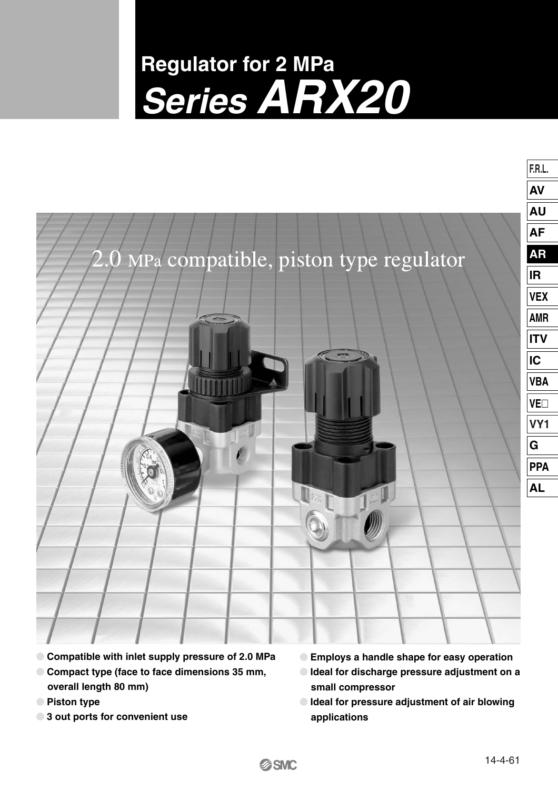# **Regulator for 2 MPa Series ARX20**



**SSMC** 

- **Compatible with inlet supply pressure of 2.0 MPa**
- **Compact type (face to face dimensions 35 mm, overall length 80 mm)**
- **Piston type**
- **3 out ports for convenient use**
- **Employs a handle shape for easy operation Ideal for discharge pressure adjustment on a small compressor**
- **Ideal for pressure adjustment of air blowing applications**

**F.R.L.**

**AV**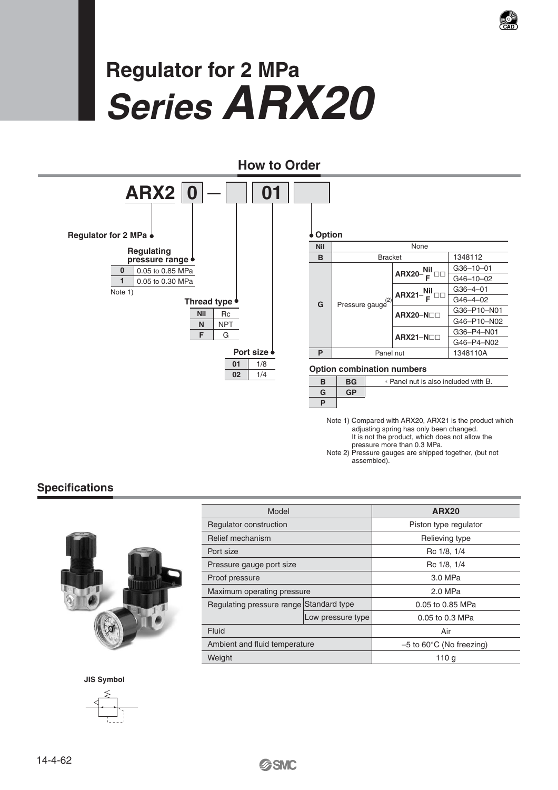

# **Regulator for 2 MPa Series ARX20**



Note 1) Compared with ARX20, ARX21 is the product which adjusting spring has only been changed. It is not the product, which does not allow the pressure more than 0.3 MPa.

Note 2) Pressure gauges are shipped together, (but not assembled).

#### **Specifications**



| Model                                   |                   | <b>ARX20</b>                         |
|-----------------------------------------|-------------------|--------------------------------------|
| Regulator construction                  |                   | Piston type regulator                |
| Relief mechanism                        |                   | Relieving type                       |
| Port size                               |                   | Rc 1/8, 1/4                          |
| Pressure gauge port size                |                   | Rc 1/8, 1/4                          |
| Proof pressure                          |                   | 3.0 MPa                              |
| Maximum operating pressure              |                   | 2.0 MPa                              |
| Regulating pressure range Standard type |                   | 0.05 to 0.85 MPa                     |
|                                         | Low pressure type | 0.05 to 0.3 MPa                      |
| Fluid                                   |                   | Air                                  |
| Ambient and fluid temperature           |                   | $-5$ to 60 $\degree$ C (No freezing) |
| Weight                                  |                   | 110 <sub>q</sub>                     |

**JIS Symbol**

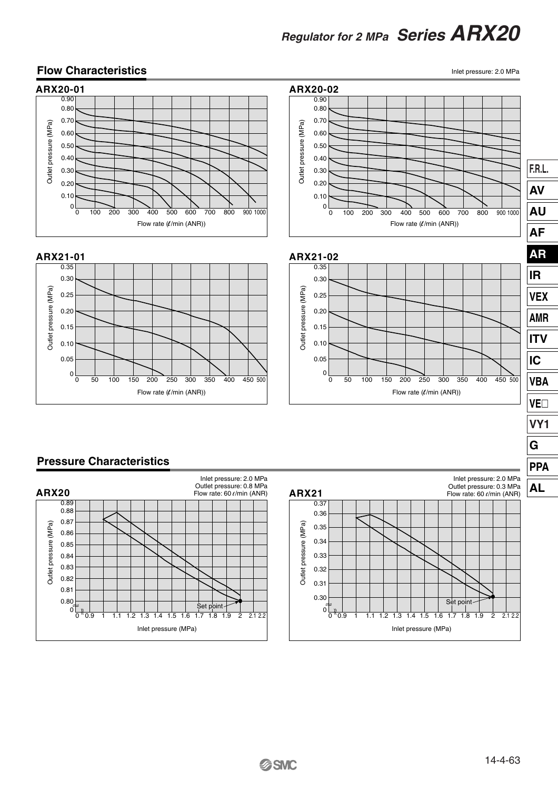#### **Flow Characteristics**

Inlet pressure: 2.0 MPa





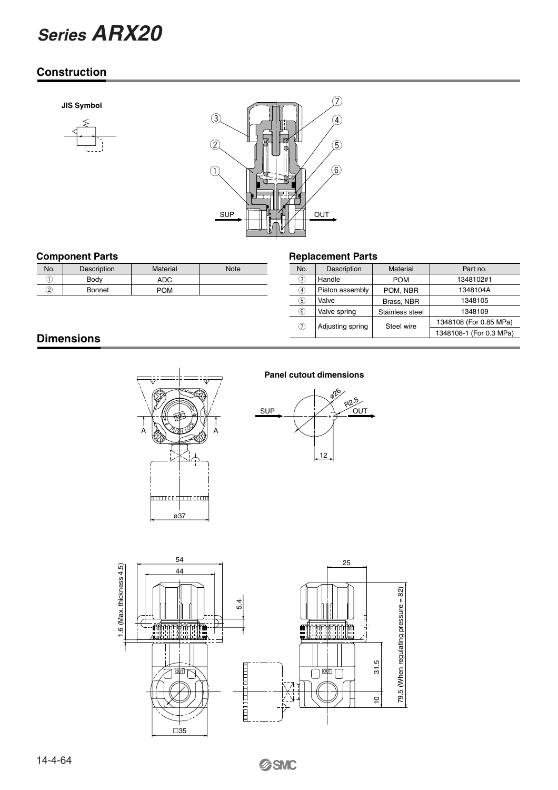# *Series ARX20*

#### **Construction**

**JIS Symbol**





| <b>Component Parts</b> |                    |            |             | <b>Replacement Parts</b> |                 |  |
|------------------------|--------------------|------------|-------------|--------------------------|-----------------|--|
| No.                    | <b>Description</b> | Material   | <b>Note</b> | No.                      | Description     |  |
|                        | Body               | ADC.       |             | 3,                       | Handle          |  |
| 2                      | Bonnet             | <b>POM</b> |             | $\left(4\right)$         | Piston assembly |  |
|                        |                    |            |             | $\sim$                   | .               |  |

| No.              | Description      | Material        | Part no.                |
|------------------|------------------|-----------------|-------------------------|
| 3)               | Handle           | <b>POM</b>      | 1348102#1               |
| $\left(4\right)$ | Piston assembly  | POM, NBR        | 1348104A                |
| 5)               | Valve            | Brass, NBR      | 1348105                 |
| $\widehat{6}$    | Valve spring     | Stainless steel | 1348109                 |
| (7)              | Adjusting spring | Steel wire      | 1348108 (For 0.85 MPa)  |
|                  |                  |                 | 1348108-1 (For 0.3 MPa) |
|                  |                  |                 |                         |

#### **Dimensions**



#### **Panel cutout dimensions**



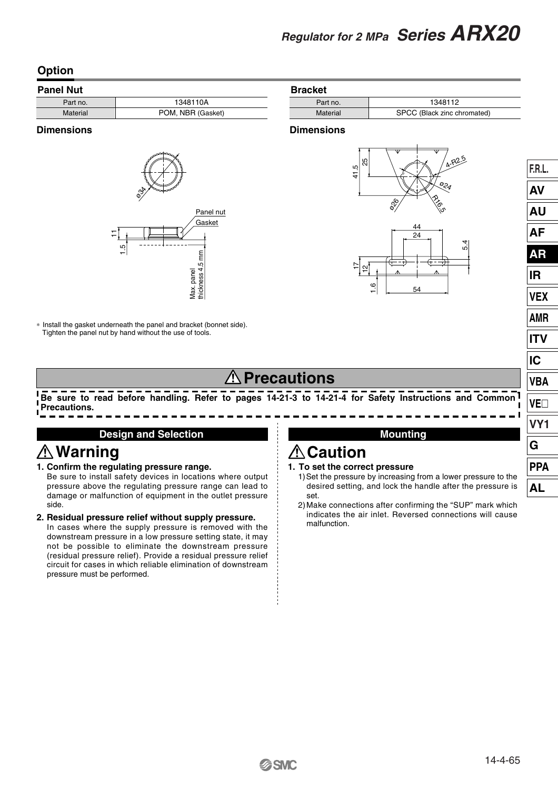#### **Option**

| <b>Panel Nut</b> |                   |  |
|------------------|-------------------|--|
| Part no.         | 1348110A          |  |
| Material         | POM, NBR (Gasket) |  |

#### **Dimensions**



∗ Install the gasket underneath the panel and bracket (bonnet side). Tighten the panel nut by hand without the use of tools.

#### **Bracket**

| Part no. | 1348112                     |
|----------|-----------------------------|
| Material | SPCC (Black zinc chromated) |

#### **Dimensions**



### **Precautions**

**Be sure to read before handling. Refer to pages 14-21-3 to 14-21-4 for Safety Instructions and Common Precautions.**

#### **Design and Selection**

## **Warning**

**1. Confirm the regulating pressure range.** 

Be sure to install safety devices in locations where output pressure above the regulating pressure range can lead to damage or malfunction of equipment in the outlet pressure side.

#### **2. Residual pressure relief without supply pressure.**

In cases where the supply pressure is removed with the downstream pressure in a low pressure setting state, it may not be possible to eliminate the downstream pressure (residual pressure relief). Provide a residual pressure relief circuit for cases in which reliable elimination of downstream pressure must be performed.

#### **Mounting**

**1. To set the correct pressure**

**Caution**

- 1)Set the pressure by increasing from a lower pressure to the desired setting, and lock the handle after the pressure is set.
- 2)Make connections after confirming the "SUP" mark which indicates the air inlet. Reversed connections will cause malfunction.

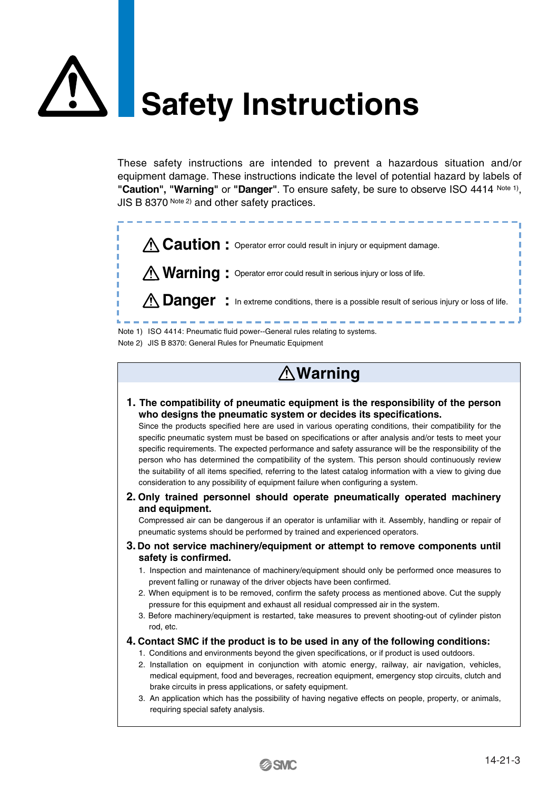# **Safety Instructions**

These safety instructions are intended to prevent a hazardous situation and/or equipment damage. These instructions indicate the level of potential hazard by labels of **"Caution", "Warning"** or **"Danger"**. To ensure safety, be sure to observe ISO 4414 Note 1), JIS B 8370 Note 2) and other safety practices.



Note 2) JIS B 8370: General Rules for Pneumatic Equipment

# **Warning**

**1. The compatibility of pneumatic equipment is the responsibility of the person who designs the pneumatic system or decides its specifications.**

Since the products specified here are used in various operating conditions, their compatibility for the specific pneumatic system must be based on specifications or after analysis and/or tests to meet your specific requirements. The expected performance and safety assurance will be the responsibility of the person who has determined the compatibility of the system. This person should continuously review the suitability of all items specified, referring to the latest catalog information with a view to giving due consideration to any possibility of equipment failure when configuring a system.

**2. Only trained personnel should operate pneumatically operated machinery and equipment.**

Compressed air can be dangerous if an operator is unfamiliar with it. Assembly, handling or repair of pneumatic systems should be performed by trained and experienced operators.

- **3. Do not service machinery/equipment or attempt to remove components until safety is confirmed.**
	- 1. Inspection and maintenance of machinery/equipment should only be performed once measures to prevent falling or runaway of the driver objects have been confirmed.
	- 2. When equipment is to be removed, confirm the safety process as mentioned above. Cut the supply pressure for this equipment and exhaust all residual compressed air in the system.
	- 3. Before machinery/equipment is restarted, take measures to prevent shooting-out of cylinder piston rod, etc.
- **4. Contact SMC if the product is to be used in any of the following conditions:**
	- 1. Conditions and environments beyond the given specifications, or if product is used outdoors.
	- 2. Installation on equipment in conjunction with atomic energy, railway, air navigation, vehicles, medical equipment, food and beverages, recreation equipment, emergency stop circuits, clutch and brake circuits in press applications, or safety equipment.
	- 3. An application which has the possibility of having negative effects on people, property, or animals, requiring special safety analysis.

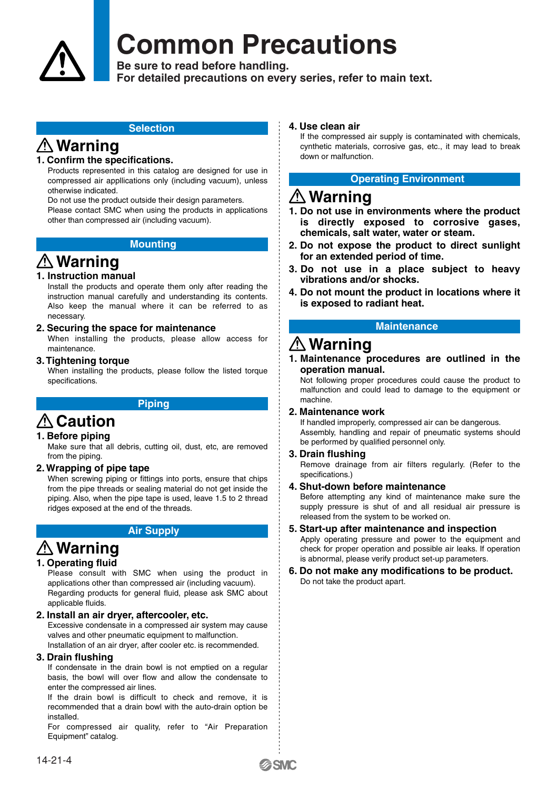# **Common Precautions**

**Be sure to read before handling.**

**For detailed precautions on every series, refer to main text.**

#### **Selection**

### **Warning**

#### **1. Confirm the specifications.**

Products represented in this catalog are designed for use in compressed air appllications only (including vacuum), unless otherwise indicated.

Do not use the product outside their design parameters. Please contact SMC when using the products in applications other than compressed air (including vacuum).

#### **Mounting**

## **Warning**

#### **1. Instruction manual**

Install the products and operate them only after reading the instruction manual carefully and understanding its contents. Also keep the manual where it can be referred to as necessary.

#### **2. Securing the space for maintenance**

When installing the products, please allow access for maintenance.

#### **3. Tightening torque**

When installing the products, please follow the listed torque specifications.

#### **Piping**

### **∆ Caution**

#### **1. Before piping**

Make sure that all debris, cutting oil, dust, etc, are removed from the piping.

#### **2. Wrapping of pipe tape**

When screwing piping or fittings into ports, ensure that chips from the pipe threads or sealing material do not get inside the piping. Also, when the pipe tape is used, leave 1.5 to 2 thread ridges exposed at the end of the threads.

#### **Air Supply**

### **Warning**

#### **1. Operating fluid**

Please consult with SMC when using the product in applications other than compressed air (including vacuum). Regarding products for general fluid, please ask SMC about applicable fluids.

#### **2. Install an air dryer, aftercooler, etc.**

Excessive condensate in a compressed air system may cause valves and other pneumatic equipment to malfunction. Installation of an air dryer, after cooler etc. is recommended.

#### **3. Drain flushing**

If condensate in the drain bowl is not emptied on a regular basis, the bowl will over flow and allow the condensate to enter the compressed air lines.

If the drain bowl is difficult to check and remove, it is recommended that a drain bowl with the auto-drain option be installed.

For compressed air quality, refer to "Air Preparation Equipment" catalog.

#### **4. Use clean air**

If the compressed air supply is contaminated with chemicals, cynthetic materials, corrosive gas, etc., it may lead to break down or malfunction.

#### **Operating Environment**

### **Warning**

- **1. Do not use in environments where the product is directly exposed to corrosive gases, chemicals, salt water, water or steam.**
- **2. Do not expose the product to direct sunlight for an extended period of time.**
- **3. Do not use in a place subject to heavy vibrations and/or shocks.**
- **4. Do not mount the product in locations where it is exposed to radiant heat.**

#### **Maintenance**

### **Warning**

#### **1. Maintenance procedures are outlined in the operation manual.**

Not following proper procedures could cause the product to malfunction and could lead to damage to the equipment or machine.

#### **2. Maintenance work**

If handled improperly, compressed air can be dangerous. Assembly, handling and repair of pneumatic systems should be performed by qualified personnel only.

#### **3. Drain flushing**

Remove drainage from air filters regularly. (Refer to the specifications.)

#### **4. Shut-down before maintenance**

Before attempting any kind of maintenance make sure the supply pressure is shut of and all residual air pressure is released from the system to be worked on.

#### **5. Start-up after maintenance and inspection**

Apply operating pressure and power to the equipment and check for proper operation and possible air leaks. If operation is abnormal, please verify product set-up parameters.

**6. Do not make any modifications to be product.** Do not take the product apart.

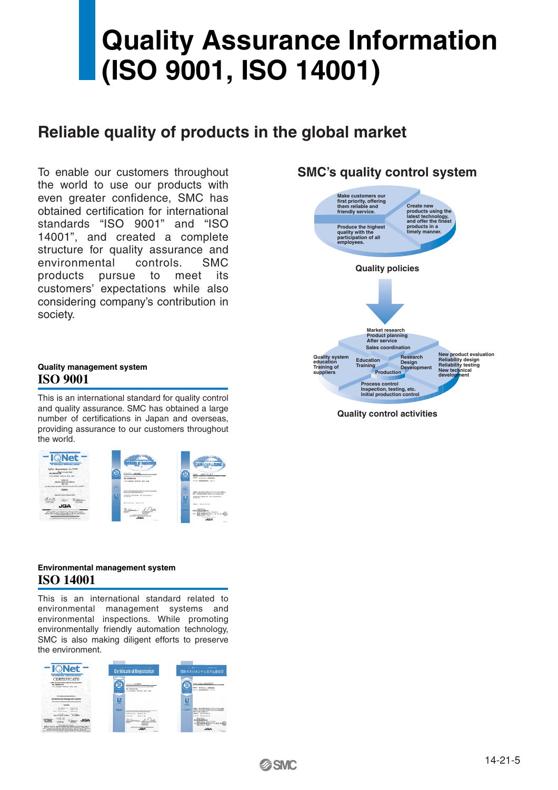# **Quality Assurance Information (ISO 9001, ISO 14001)**

### **Reliable quality of products in the global market**

To enable our customers throughout the world to use our products with even greater confidence, SMC has obtained certification for international standards "ISO 9001" and "ISO 14001", and created a complete structure for quality assurance and environmental controls. SMC products pursue to meet its customers' expectations while also considering company's contribution in society.



**SMC's quality control system**

**Quality control activities**

#### **Quality management system ISO 9001**

This is an international standard for quality control and quality assurance. SMC has obtained a large number of certifications in Japan and overseas, providing assurance to our customers throughout the world.



#### **Environmental management system ISO 14001**

This is an international standard related to environmental management systems and environmental inspections. While promoting environmentally friendly automation technology, SMC is also making diligent efforts to preserve the environment.

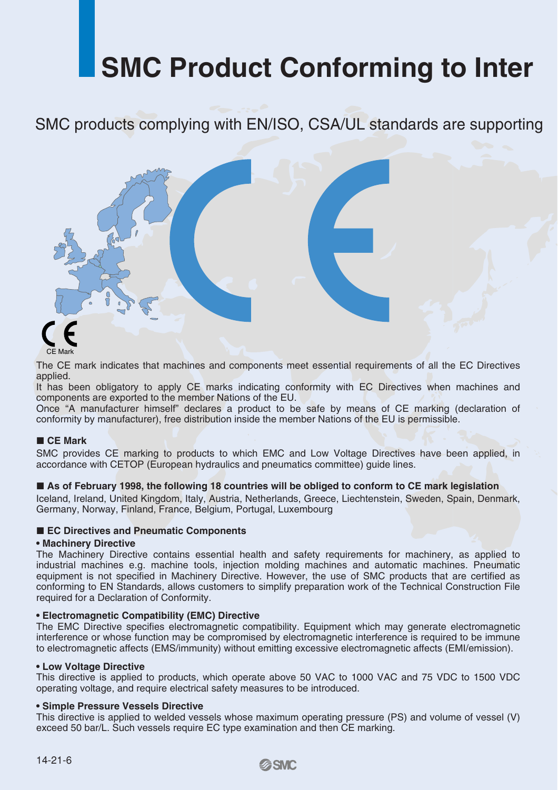# **SMC Product Conforming to Inter**

SMC products complying with EN/ISO, CSA/UL standards are supporting



The CE mark indicates that machines and components meet essential requirements of all the EC Directives applied.

It has been obligatory to apply CE marks indicating conformity with EC Directives when machines and components are exported to the member Nations of the EU.

Once "A manufacturer himself" declares a product to be safe by means of CE marking (declaration of conformity by manufacturer), free distribution inside the member Nations of the EU is permissible.

#### **CE Mark**

SMC provides CE marking to products to which EMC and Low Voltage Directives have been applied, in accordance with CETOP (European hydraulics and pneumatics committee) guide lines.

#### **As of February 1998, the following 18 countries will be obliged to conform to CE mark legislation**

Iceland, Ireland, United Kingdom, Italy, Austria, Netherlands, Greece, Liechtenstein, Sweden, Spain, Denmark, Germany, Norway, Finland, France, Belgium, Portugal, Luxembourg

#### ■ **EC Directives and Pneumatic Components**

#### **• Machinery Directive**

The Machinery Directive contains essential health and safety requirements for machinery, as applied to industrial machines e.g. machine tools, injection molding machines and automatic machines. Pneumatic equipment is not specified in Machinery Directive. However, the use of SMC products that are certified as conforming to EN Standards, allows customers to simplify preparation work of the Technical Construction File required for a Declaration of Conformity.

#### **• Electromagnetic Compatibility (EMC) Directive**

The EMC Directive specifies electromagnetic compatibility. Equipment which may generate electromagnetic interference or whose function may be compromised by electromagnetic interference is required to be immune to electromagnetic affects (EMS/immunity) without emitting excessive electromagnetic affects (EMI/emission).

#### **• Low Voltage Directive**

This directive is applied to products, which operate above 50 VAC to 1000 VAC and 75 VDC to 1500 VDC operating voltage, and require electrical safety measures to be introduced.

#### **• Simple Pressure Vessels Directive**

This directive is applied to welded vessels whose maximum operating pressure (PS) and volume of vessel (V) exceed 50 bar/L. Such vessels require EC type examination and then CE marking.

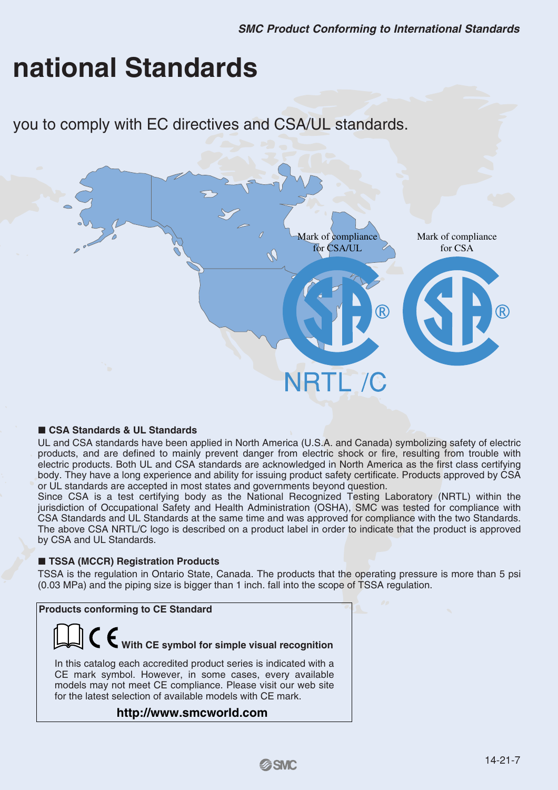# **national Standards**

you to comply with EC directives and CSA/UL standards.



#### **CSA Standards & UL Standards**

UL and CSA standards have been applied in North America (U.S.A. and Canada) symbolizing safety of electric products, and are defined to mainly prevent danger from electric shock or fire, resulting from trouble with electric products. Both UL and CSA standards are acknowledged in North America as the first class certifying body. They have a long experience and ability for issuing product safety certificate. Products approved by CSA or UL standards are accepted in most states and governments beyond question.

Since CSA is a test certifying body as the National Recognized Testing Laboratory (NRTL) within the jurisdiction of Occupational Safety and Health Administration (OSHA), SMC was tested for compliance with CSA Standards and UL Standards at the same time and was approved for compliance with the two Standards. The above CSA NRTL/C logo is described on a product label in order to indicate that the product is approved by CSA and UL Standards.

#### ■ **TSSA (MCCR) Registration Products**

TSSA is the regulation in Ontario State, Canada. The products that the operating pressure is more than 5 psi (0.03 MPa) and the piping size is bigger than 1 inch. fall into the scope of TSSA regulation.

**Products conforming to CE Standard**

# **With CE symbol for simple visual recognition**

In this catalog each accredited product series is indicated with a CE mark symbol. However, in some cases, every available models may not meet CE compliance. Please visit our web site for the latest selection of available models with CE mark.

#### **http://www.smcworld.com**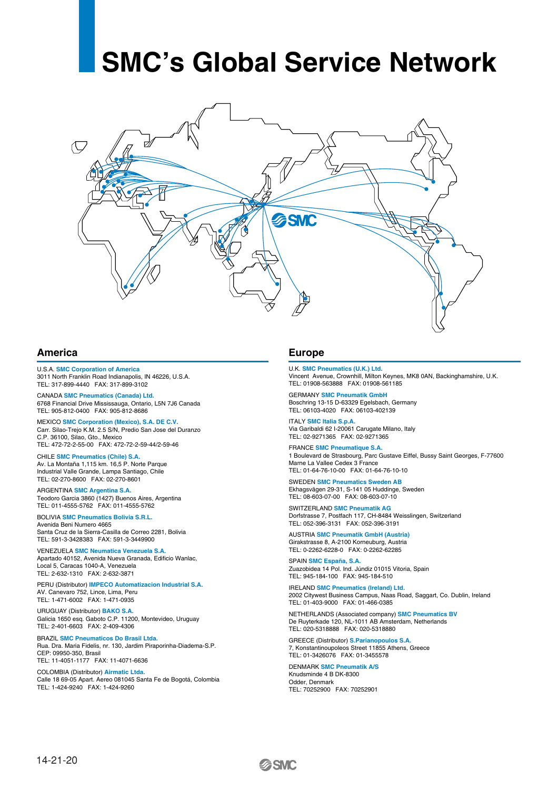# **SMC's Global Service Network**



#### **America Europe**

U.S.A. **SMC Corporation of America** 3011 North Franklin Road Indianapolis, IN 46226, U.S.A. TEL: 317-899-4440 FAX: 317-899-3102

CANADA **SMC Pneumatics (Canada) Ltd.** 6768 Financial Drive Mississauga, Ontario, L5N 7J6 Canada TEL: 905-812-0400 FAX: 905-812-8686

MEXICO **SMC Corporation (Mexico), S.A. DE C.V.** Carr. Silao-Trejo K.M. 2.5 S/N, Predio San Jose del Duranzo C.P. 36100, Silao, Gto., Mexico TEL: 472-72-2-55-00 FAX: 472-72-2-59-44/2-59-46

CHILE **SMC Pneumatics (Chile) S.A.** Av. La Montaña 1,115 km. 16,5 P. Norte Parque Industrial Valle Grande, Lampa Santiago, Chile TEL: 02-270-8600 FAX: 02-270-8601

ARGENTINA **SMC Argentina S.A.** Teodoro Garcia 3860 (1427) Buenos Aires, Argentina TEL: 011-4555-5762 FAX: 011-4555-5762

BOLIVIA **SMC Pneumatics Bolivia S.R.L.** Avenida Beni Numero 4665 Santa Cruz de la Sierra-Casilla de Correo 2281, Bolivia TEL: 591-3-3428383 FAX: 591-3-3449900

VENEZUELA **SMC Neumatica Venezuela S.A.**  Apartado 40152, Avenida Nueva Granada, Edificio Wanlac, Local 5, Caracas 1040-A, Venezuela TEL: 2-632-1310 FAX: 2-632-3871

PERU (Distributor) **IMPECO Automatizacion Industrial S.A.**  AV. Canevaro 752, Lince, Lima, Peru TEL: 1-471-6002 FAX: 1-471-0935

URUGUAY (Distributor) **BAKO S.A.**  Galicia 1650 esq. Gaboto C.P. 11200, Montevideo, Uruguay TEL: 2-401-6603 FAX: 2-409-4306

BRAZIL **SMC Pneumaticos Do Brasil Ltda.** Rua. Dra. Maria Fidelis, nr. 130, Jardim Piraporinha-Diadema-S.P. CEP: 09950-350, Brasil TEL: 11-4051-1177 FAX: 11-4071-6636

COLOMBIA (Distributor) **Airmatic Ltda.** Calle 18 69-05 Apart. Aereo 081045 Santa Fe de Bogotá, Colombia TEL: 1-424-9240 FAX: 1-424-9260

U.K. **SMC Pneumatics (U.K.) Ltd.** Vincent Avenue, Crownhill, Milton Keynes, MK8 0AN, Backinghamshire, U.K. TEL: 01908-563888 FAX: 01908-561185

GERMANY **SMC Pneumatik GmbH** Boschring 13-15 D-63329 Egelsbach, Germany TEL: 06103-4020 FAX: 06103-402139

ITALY **SMC Italia S.p.A.** Via Garibaldi 62 I-20061 Carugate Milano, Italy TEL: 02-9271365 FAX: 02-9271365

FRANCE **SMC Pneumatique S.A.** 1 Boulevard de Strasbourg, Parc Gustave Eiffel, Bussy Saint Georges, F-77600 Marne La Vallee Cedex 3 France TEL: 01-64-76-10-00 FAX: 01-64-76-10-10

SWEDEN **SMC Pneumatics Sweden AB** Ekhagsvägen 29-31, S-141 05 Huddinge, Sweden TEL: 08-603-07-00 FAX: 08-603-07-10

SWITZERLAND **SMC Pneumatik AG** Dorfstrasse 7, Postfach 117, CH-8484 Weisslingen, Switzerland TEL: 052-396-3131 FAX: 052-396-3191

AUSTRIA **SMC Pneumatik GmbH (Austria)** Girakstrasse 8, A-2100 Korneuburg, Austria TEL: 0-2262-6228-0 FAX: 0-2262-62285

SPAIN **SMC España, S.A.** Zuazobidea 14 Pol. Ind. Júndiz 01015 Vitoria, Spain TEL: 945-184-100 FAX: 945-184-510

IRELAND **SMC Pneumatics (Ireland) Ltd.** 2002 Citywest Business Campus, Naas Road, Saggart, Co. Dublin, Ireland TEL: 01-403-9000 FAX: 01-466-0385

NETHERLANDS (Associated company) **SMC Pneumatics BV** De Ruyterkade 120, NL-1011 AB Amsterdam, Netherlands TEL: 020-5318888 FAX: 020-5318880

GREECE (Distributor) **S.Parianopoulos S.A.** 7, Konstantinoupoleos Street 11855 Athens, Greece TEL: 01-3426076 FAX: 01-3455578

DENMARK **SMC Pneumatik A/S** Knudsminde 4 B DK-8300 Odder, Denmark TEL: 70252900 FAX: 70252901